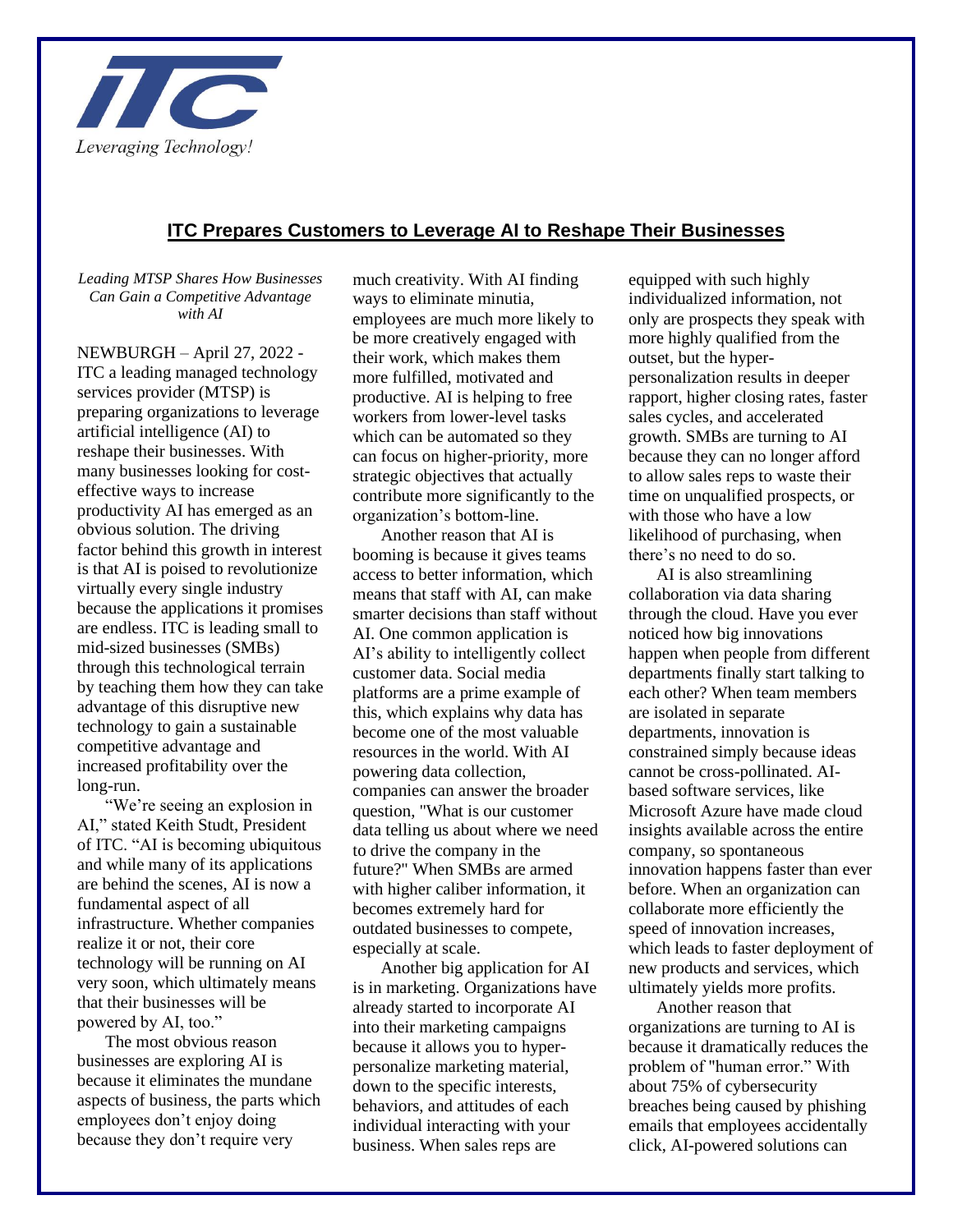

## **ITC Prepares Customers to Leverage AI to Reshape Their Businesses**

*Leading MTSP Shares How Businesses Can Gain a Competitive Advantage with AI*

NEWBURGH – April 27, 2022 - ITC a leading managed technology services provider (MTSP) is preparing organizations to leverage artificial intelligence (AI) to reshape their businesses. With many businesses looking for costeffective ways to increase productivity AI has emerged as an obvious solution. The driving factor behind this growth in interest is that AI is poised to revolutionize virtually every single industry because the applications it promises are endless. ITC is leading small to mid-sized businesses (SMBs) through this technological terrain by teaching them how they can take advantage of this disruptive new technology to gain a sustainable competitive advantage and increased profitability over the long-run.

"We're seeing an explosion in AI," stated Keith Studt, President of ITC. "AI is becoming ubiquitous and while many of its applications are behind the scenes, AI is now a fundamental aspect of all infrastructure. Whether companies realize it or not, their core technology will be running on AI very soon, which ultimately means that their businesses will be powered by AI, too."

The most obvious reason businesses are exploring AI is because it eliminates the mundane aspects of business, the parts which employees don't enjoy doing because they don't require very

much creativity. With AI finding ways to eliminate minutia, employees are much more likely to be more creatively engaged with their work, which makes them more fulfilled, motivated and productive. AI is helping to free workers from lower-level tasks which can be automated so they can focus on higher-priority, more strategic objectives that actually contribute more significantly to the organization's bottom-line.

Another reason that AI is booming is because it gives teams access to better information, which means that staff with AI, can make smarter decisions than staff without AI. One common application is AI's ability to intelligently collect customer data. Social media platforms are a prime example of this, which explains why data has become one of the most valuable resources in the world. With AI powering data collection, companies can answer the broader question, "What is our customer data telling us about where we need to drive the company in the future?" When SMBs are armed with higher caliber information, it becomes extremely hard for outdated businesses to compete, especially at scale.

Another big application for AI is in marketing. Organizations have already started to incorporate AI into their marketing campaigns because it allows you to hyperpersonalize marketing material, down to the specific interests, behaviors, and attitudes of each individual interacting with your business. When sales reps are

equipped with such highly individualized information, not only are prospects they speak with more highly qualified from the outset, but the hyperpersonalization results in deeper rapport, higher closing rates, faster sales cycles, and accelerated growth. SMBs are turning to AI because they can no longer afford to allow sales reps to waste their time on unqualified prospects, or with those who have a low likelihood of purchasing, when there's no need to do so.

AI is also streamlining collaboration via data sharing through the cloud. Have you ever noticed how big innovations happen when people from different departments finally start talking to each other? When team members are isolated in separate departments, innovation is constrained simply because ideas cannot be cross-pollinated. AIbased software services, like Microsoft Azure have made cloud insights available across the entire company, so spontaneous innovation happens faster than ever before. When an organization can collaborate more efficiently the speed of innovation increases, which leads to faster deployment of new products and services, which ultimately yields more profits.

Another reason that organizations are turning to AI is because it dramatically reduces the problem of "human error." With about 75% of cybersecurity breaches being caused by phishing emails that employees accidentally click, AI-powered solutions can